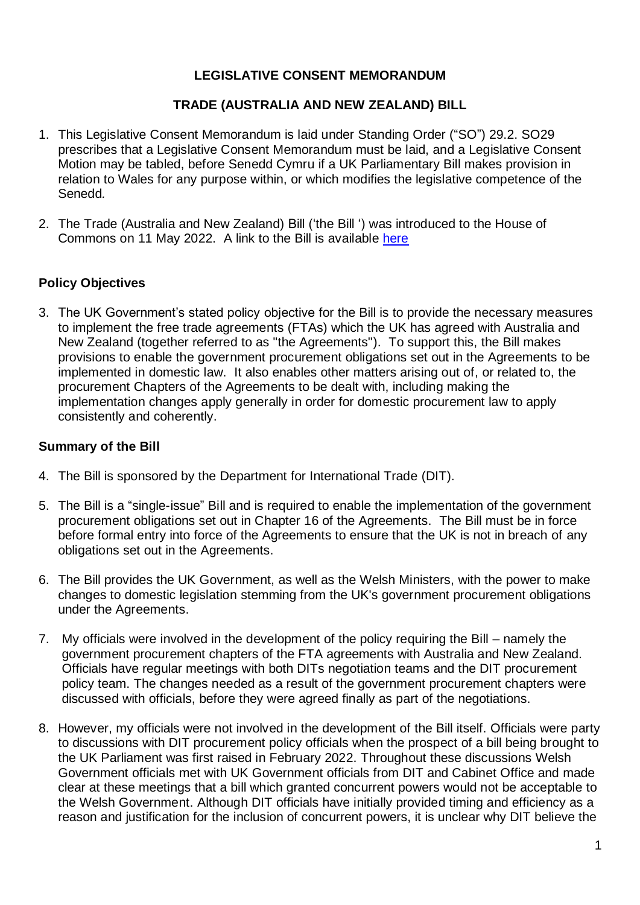# **LEGISLATIVE CONSENT MEMORANDUM**

## **TRADE (AUSTRALIA AND NEW ZEALAND) BILL**

- 1. This Legislative Consent Memorandum is laid under Standing Order ("SO") 29.2. SO29 prescribes that a Legislative Consent Memorandum must be laid, and a Legislative Consent Motion may be tabled, before Senedd Cymru if a UK Parliamentary Bill makes provision in relation to Wales for any purpose within, or which modifies the legislative competence of the Senedd*.*
- 2. The Trade (Australia and New Zealand) Bill ('the Bill ') was introduced to the House of Commons on 11 May 2022. A link to the Bill is available [here](https://publications.parliament.uk/pa/bills/cbill/58-03/0009/220009.pdf)

## **Policy Objectives**

3. The UK Government's stated policy objective for the Bill is to provide the necessary measures to implement the free trade agreements (FTAs) which the UK has agreed with Australia and New Zealand (together referred to as "the Agreements"). To support this, the Bill makes provisions to enable the government procurement obligations set out in the Agreements to be implemented in domestic law. It also enables other matters arising out of, or related to, the procurement Chapters of the Agreements to be dealt with, including making the implementation changes apply generally in order for domestic procurement law to apply consistently and coherently.

#### **Summary of the Bill**

- 4. The Bill is sponsored by the Department for International Trade (DIT).
- 5. The Bill is a "single-issue" Bill and is required to enable the implementation of the government procurement obligations set out in Chapter 16 of the Agreements. The Bill must be in force before formal entry into force of the Agreements to ensure that the UK is not in breach of any obligations set out in the Agreements.
- 6. The Bill provides the UK Government, as well as the Welsh Ministers, with the power to make changes to domestic legislation stemming from the UK's government procurement obligations under the Agreements.
- 7. My officials were involved in the development of the policy requiring the Bill namely the government procurement chapters of the FTA agreements with Australia and New Zealand. Officials have regular meetings with both DITs negotiation teams and the DIT procurement policy team. The changes needed as a result of the government procurement chapters were discussed with officials, before they were agreed finally as part of the negotiations.
- 8. However, my officials were not involved in the development of the Bill itself. Officials were party to discussions with DIT procurement policy officials when the prospect of a bill being brought to the UK Parliament was first raised in February 2022. Throughout these discussions Welsh Government officials met with UK Government officials from DIT and Cabinet Office and made clear at these meetings that a bill which granted concurrent powers would not be acceptable to the Welsh Government. Although DIT officials have initially provided timing and efficiency as a reason and justification for the inclusion of concurrent powers, it is unclear why DIT believe the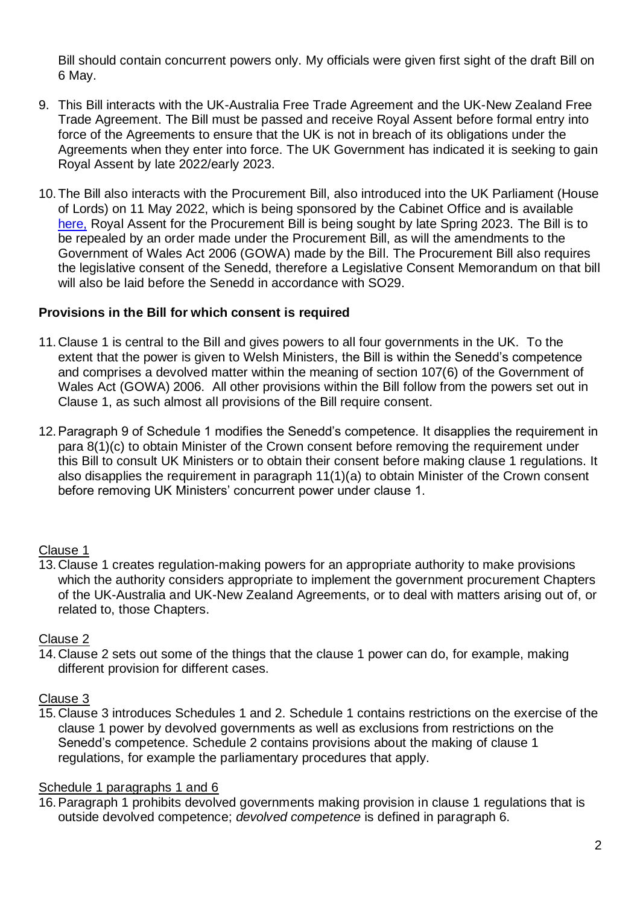Bill should contain concurrent powers only. My officials were given first sight of the draft Bill on 6 May.

- 9. This Bill interacts with the UK-Australia Free Trade Agreement and the UK-New Zealand Free Trade Agreement. The Bill must be passed and receive Royal Assent before formal entry into force of the Agreements to ensure that the UK is not in breach of its obligations under the Agreements when they enter into force. The UK Government has indicated it is seeking to gain Royal Assent by late 2022/early 2023.
- 10.The Bill also interacts with the Procurement Bill, also introduced into the UK Parliament (House of Lords) on 11 May 2022, which is being sponsored by the Cabinet Office and is available [here,](https://bills.parliament.uk/bills/3159) Royal Assent for the Procurement Bill is being sought by late Spring 2023. The Bill is to be repealed by an order made under the Procurement Bill, as will the amendments to the Government of Wales Act 2006 (GOWA) made by the Bill. The Procurement Bill also requires the legislative consent of the Senedd, therefore a Legislative Consent Memorandum on that bill will also be laid before the Senedd in accordance with SO29.

## **Provisions in the Bill for which consent is required**

- 11.Clause 1 is central to the Bill and gives powers to all four governments in the UK. To the extent that the power is given to Welsh Ministers, the Bill is within the Senedd's competence and comprises a devolved matter within the meaning of section 107(6) of the Government of Wales Act (GOWA) 2006. All other provisions within the Bill follow from the powers set out in Clause 1, as such almost all provisions of the Bill require consent.
- 12.Paragraph 9 of Schedule 1 modifies the Senedd's competence. It disapplies the requirement in para 8(1)(c) to obtain Minister of the Crown consent before removing the requirement under this Bill to consult UK Ministers or to obtain their consent before making clause 1 regulations. It also disapplies the requirement in paragraph 11(1)(a) to obtain Minister of the Crown consent before removing UK Ministers' concurrent power under clause 1.

## Clause 1

13.Clause 1 creates regulation-making powers for an appropriate authority to make provisions which the authority considers appropriate to implement the government procurement Chapters of the UK-Australia and UK-New Zealand Agreements, or to deal with matters arising out of, or related to, those Chapters.

## Clause 2

14.Clause 2 sets out some of the things that the clause 1 power can do, for example, making different provision for different cases.

## Clause 3

15.Clause 3 introduces Schedules 1 and 2. Schedule 1 contains restrictions on the exercise of the clause 1 power by devolved governments as well as exclusions from restrictions on the Senedd's competence. Schedule 2 contains provisions about the making of clause 1 regulations, for example the parliamentary procedures that apply.

## Schedule 1 paragraphs 1 and 6

16.Paragraph 1 prohibits devolved governments making provision in clause 1 regulations that is outside devolved competence; *devolved competence* is defined in paragraph 6.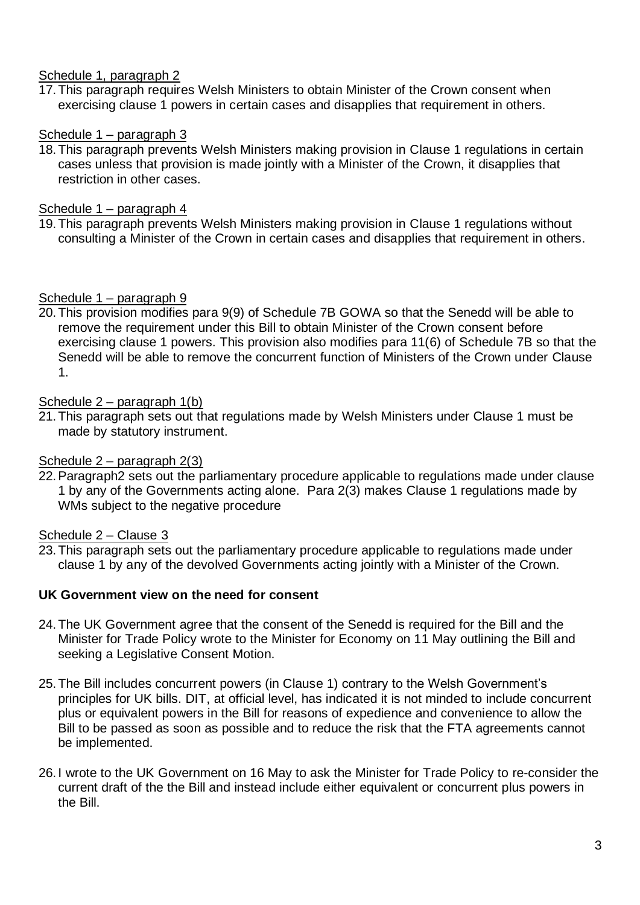# Schedule 1, paragraph 2

17.This paragraph requires Welsh Ministers to obtain Minister of the Crown consent when exercising clause 1 powers in certain cases and disapplies that requirement in others.

## Schedule 1 – paragraph 3

18.This paragraph prevents Welsh Ministers making provision in Clause 1 regulations in certain cases unless that provision is made jointly with a Minister of the Crown, it disapplies that restriction in other cases.

# Schedule 1 – paragraph 4

19.This paragraph prevents Welsh Ministers making provision in Clause 1 regulations without consulting a Minister of the Crown in certain cases and disapplies that requirement in others.

## Schedule 1 – paragraph 9

20.This provision modifies para 9(9) of Schedule 7B GOWA so that the Senedd will be able to remove the requirement under this Bill to obtain Minister of the Crown consent before exercising clause 1 powers. This provision also modifies para 11(6) of Schedule 7B so that the Senedd will be able to remove the concurrent function of Ministers of the Crown under Clause 1.

## Schedule 2 – paragraph 1(b)

21.This paragraph sets out that regulations made by Welsh Ministers under Clause 1 must be made by statutory instrument.

## Schedule 2 – paragraph 2(3)

22.Paragraph2 sets out the parliamentary procedure applicable to regulations made under clause 1 by any of the Governments acting alone. Para 2(3) makes Clause 1 regulations made by WMs subject to the negative procedure

## Schedule 2 – Clause 3

23.This paragraph sets out the parliamentary procedure applicable to regulations made under clause 1 by any of the devolved Governments acting jointly with a Minister of the Crown.

## **UK Government view on the need for consent**

- 24.The UK Government agree that the consent of the Senedd is required for the Bill and the Minister for Trade Policy wrote to the Minister for Economy on 11 May outlining the Bill and seeking a Legislative Consent Motion.
- 25.The Bill includes concurrent powers (in Clause 1) contrary to the Welsh Government's principles for UK bills. DIT, at official level, has indicated it is not minded to include concurrent plus or equivalent powers in the Bill for reasons of expedience and convenience to allow the Bill to be passed as soon as possible and to reduce the risk that the FTA agreements cannot be implemented.
- 26. I wrote to the UK Government on 16 May to ask the Minister for Trade Policy to re-consider the current draft of the the Bill and instead include either equivalent or concurrent plus powers in the Bill.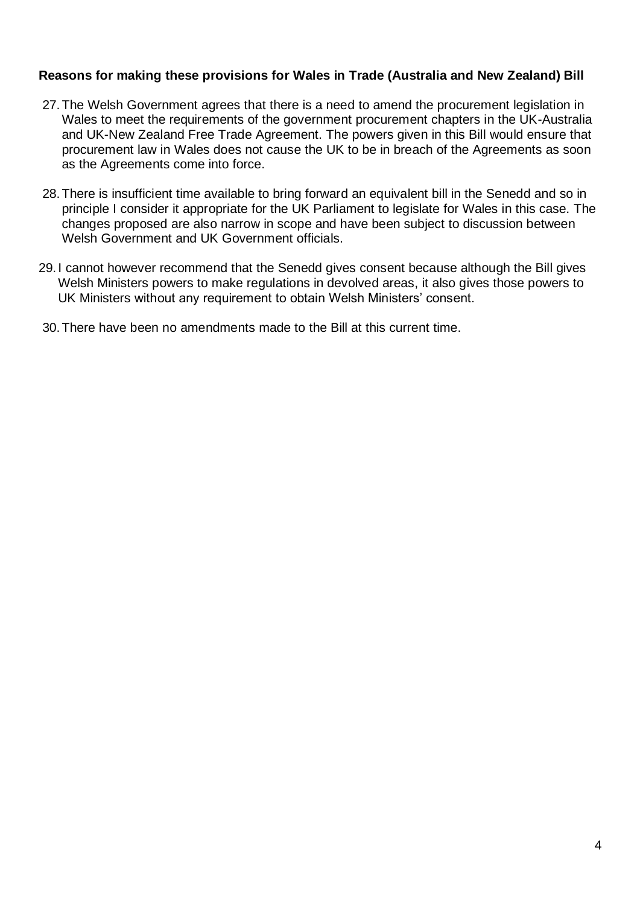#### **Reasons for making these provisions for Wales in Trade (Australia and New Zealand) Bill**

- 27.The Welsh Government agrees that there is a need to amend the procurement legislation in Wales to meet the requirements of the government procurement chapters in the UK-Australia and UK-New Zealand Free Trade Agreement. The powers given in this Bill would ensure that procurement law in Wales does not cause the UK to be in breach of the Agreements as soon as the Agreements come into force.
- 28.There is insufficient time available to bring forward an equivalent bill in the Senedd and so in principle I consider it appropriate for the UK Parliament to legislate for Wales in this case. The changes proposed are also narrow in scope and have been subject to discussion between Welsh Government and UK Government officials.
- 29. I cannot however recommend that the Senedd gives consent because although the Bill gives Welsh Ministers powers to make regulations in devolved areas, it also gives those powers to UK Ministers without any requirement to obtain Welsh Ministers' consent.
- 30.There have been no amendments made to the Bill at this current time.